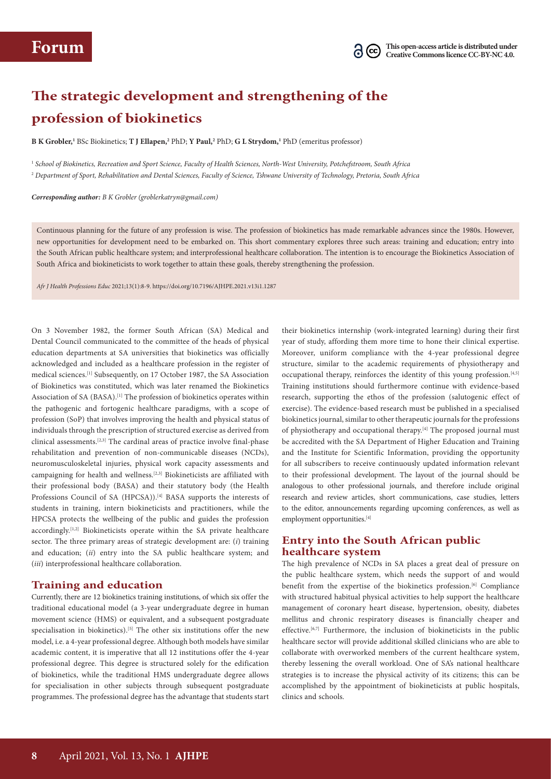# **The strategic development and strengthening of the profession of biokinetics**

**B K Grobler,'** BSc Biokinetics; **T J Ellapen,<sup>2</sup> PhD; <b>Y Paul,**<sup>2</sup> PhD; **G L Strydom,'** PhD (emeritus professor)

1  *School of Biokinetics, Recreation and Sport Science, Faculty of Health Sciences, North-West University, Potchefstroom, South Africa* <sup>2</sup> *Department of Sport, Rehabilitation and Dental Sciences, Faculty of Science, Tshwane University of Technology, Pretoria, South Africa*

*Corresponding author: B K Grobler (groblerkatryn@gmail.com)* 

Continuous planning for the future of any profession is wise. The profession of biokinetics has made remarkable advances since the 1980s. However, new opportunities for development need to be embarked on. This short commentary explores three such areas: training and education; entry into the South African public healthcare system; and interprofessional healthcare collaboration. The intention is to encourage the Biokinetics Association of South Africa and biokineticists to work together to attain these goals, thereby strengthening the profession.

*Afr J Health Professions Educ* 2021;13(1):8-9. https://doi.org/10.7196/AJHPE.2021.v13i1.1287

On 3 November 1982, the former South African (SA) Medical and Dental Council communicated to the committee of the heads of physical education departments at SA universities that biokinetics was officially acknowledged and included as a healthcare profession in the register of medical sciences.[1] Subsequently, on 17 October 1987, the SA Association of Biokinetics was constituted, which was later renamed the Biokinetics Association of SA (BASA).<sup>[1]</sup> The profession of biokinetics operates within the pathogenic and fortogenic healthcare paradigms, with a scope of profession (SoP) that involves improving the health and physical status of individuals through the prescription of structured exercise as derived from clinical assessments.[2,3] The cardinal areas of practice involve final-phase rehabilitation and prevention of non-communicable diseases (NCDs), neuromusculoskeletal injuries, physical work capacity assessments and campaigning for health and wellness.[2,3] Biokineticists are affiliated with their professional body (BASA) and their statutory body (the Health Professions Council of SA (HPCSA)).<sup>[4]</sup> BASA supports the interests of students in training, intern biokineticists and practitioners, while the HPCSA protects the wellbeing of the public and guides the profession accordingly.<sup>[1,2]</sup> Biokineticists operate within the SA private healthcare sector. The three primary areas of strategic development are: (*i*) training and education; (*ii*) entry into the SA public healthcare system; and (*iii*) interprofessional healthcare collaboration.

### **Training and education**

Currently, there are 12 biokinetics training institutions, of which six offer the traditional educational model (a 3-year undergraduate degree in human movement science (HMS) or equivalent, and a subsequent postgraduate specialisation in biokinetics).<sup>[5]</sup> The other six institutions offer the new model, i.e. a 4-year professional degree. Although both models have similar academic content, it is imperative that all 12 institutions offer the 4-year professional degree. This degree is structured solely for the edification of biokinetics, while the traditional HMS undergraduate degree allows for specialisation in other subjects through subsequent postgraduate programmes. The professional degree has the advantage that students start

their biokinetics internship (work-integrated learning) during their first year of study, affording them more time to hone their clinical expertise. Moreover, uniform compliance with the 4-year professional degree structure, similar to the academic requirements of physiotherapy and occupational therapy, reinforces the identity of this young profession.<sup>[4,5]</sup> Training institutions should furthermore continue with evidence-based research, supporting the ethos of the profession (salutogenic effect of exercise). The evidence-based research must be published in a specialised biokinetics journal, similar to other therapeutic journals for the professions of physiotherapy and occupational therapy.<sup>[4]</sup> The proposed journal must be accredited with the SA Department of Higher Education and Training and the Institute for Scientific Information, providing the opportunity for all subscribers to receive continuously updated information relevant to their professional development. The layout of the journal should be analogous to other professional journals, and therefore include original research and review articles, short communications, case studies, letters to the editor, announcements regarding upcoming conferences, as well as employment opportunities.[4]

# **Entry into the South African public healthcare system**

The high prevalence of NCDs in SA places a great deal of pressure on the public healthcare system, which needs the support of and would benefit from the expertise of the biokinetics profession.[6] Compliance with structured habitual physical activities to help support the healthcare management of coronary heart disease, hypertension, obesity, diabetes mellitus and chronic respiratory diseases is financially cheaper and effective.<sup>[6,7]</sup> Furthermore, the inclusion of biokineticists in the public healthcare sector will provide additional skilled clinicians who are able to collaborate with overworked members of the current healthcare system, thereby lessening the overall workload. One of SA's national healthcare strategies is to increase the physical activity of its citizens; this can be accomplished by the appointment of biokineticists at public hospitals, clinics and schools.